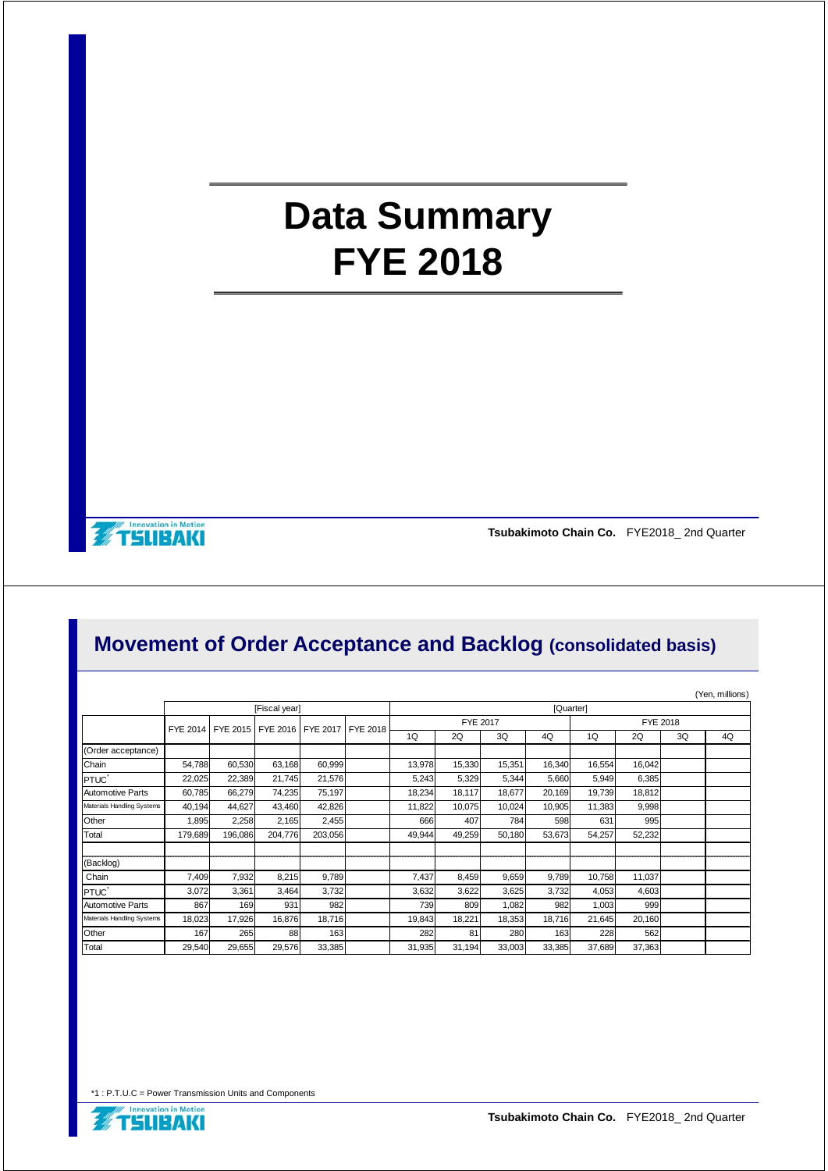# **Data Summary FYE 2018**

**Innevation in Metion** 

**Tsubakimoto Chain Co.** FYE2018\_ 2nd Quarter

#### **Movement of Order Acceptance and Backlog (consolidated basis)**

|                            |         |           |                                              |         |  |          |        |        |        |          |        |    | (Yen, millions) |
|----------------------------|---------|-----------|----------------------------------------------|---------|--|----------|--------|--------|--------|----------|--------|----|-----------------|
|                            |         | [Quarter] |                                              |         |  |          |        |        |        |          |        |    |                 |
|                            |         |           | FYE 2014 FYE 2015 FYE 2016 FYE 2017 FYE 2018 |         |  | FYE 2017 |        |        |        | FYE 2018 |        |    |                 |
|                            |         |           |                                              |         |  | 1Q       | 2Q     | 3Q     | 4Q     | 1Q       | 2Q     | 3Q | 4Q              |
| (Order acceptance)         |         |           |                                              |         |  |          |        |        |        |          |        |    |                 |
| Chain                      | 54,788  | 60,530    | 63,168                                       | 60,999  |  | 13,978   | 15,330 | 15,351 | 16,340 | 16,554   | 16,042 |    |                 |
| PTUC <sup>*</sup>          | 22,025  | 22,389    | 21,745                                       | 21,576  |  | 5,243    | 5,329  | 5,344  | 5,660  | 5,949    | 6,385  |    |                 |
| <b>Automotive Parts</b>    | 60,785  | 66,279    | 74,235                                       | 75,197  |  | 18,234   | 18,117 | 18,677 | 20,169 | 19,739   | 18,812 |    |                 |
| Materials Handling Systems | 40,194  | 44.627    | 43,460                                       | 42.826  |  | 11,822   | 10,075 | 10,024 | 10,905 | 11.383   | 9,998  |    |                 |
| Other                      | 1,895   | 2,258     | 2,165                                        | 2,455   |  | 666      | 407    | 784    | 598    | 631      | 995    |    |                 |
| Total                      | 179.689 | 196,086   | 204,776                                      | 203,056 |  | 49,944   | 49,259 | 50,180 | 53,673 | 54,257   | 52,232 |    |                 |
| (Backlog)                  |         |           |                                              |         |  |          |        |        |        |          |        |    |                 |
| Chain                      | 7,409   | 7,932     | 8,215                                        | 9,789   |  | 7,437    | 8,459  | 9,659  | 9,789  | 10,758   | 11,037 |    |                 |
| PTUC <sup>-</sup>          | 3,072   | 3.361     | 3,464                                        | 3,732   |  | 3,632    | 3,622  | 3,625  | 3,732  | 4,053    | 4,603  |    |                 |
| <b>Automotive Parts</b>    | 867     | 169       | 931                                          | 982     |  | 739      | 809    | 1,082  | 982    | 1,003    | 999    |    |                 |
| Materials Handling Systems | 18,023  | 17,926    | 16.876                                       | 18.716  |  | 19,843   | 18,221 | 18,353 | 18,716 | 21,645   | 20,160 |    |                 |
| Other                      | 167     | 265       | 88                                           | 163     |  | 282      | 81     | 280    | 163    | 228      | 562    |    |                 |
| Total                      | 29,540  | 29,655    | 29,576                                       | 33,385  |  | 31,935   | 31,194 | 33,003 | 33,385 | 37,689   | 37,363 |    |                 |

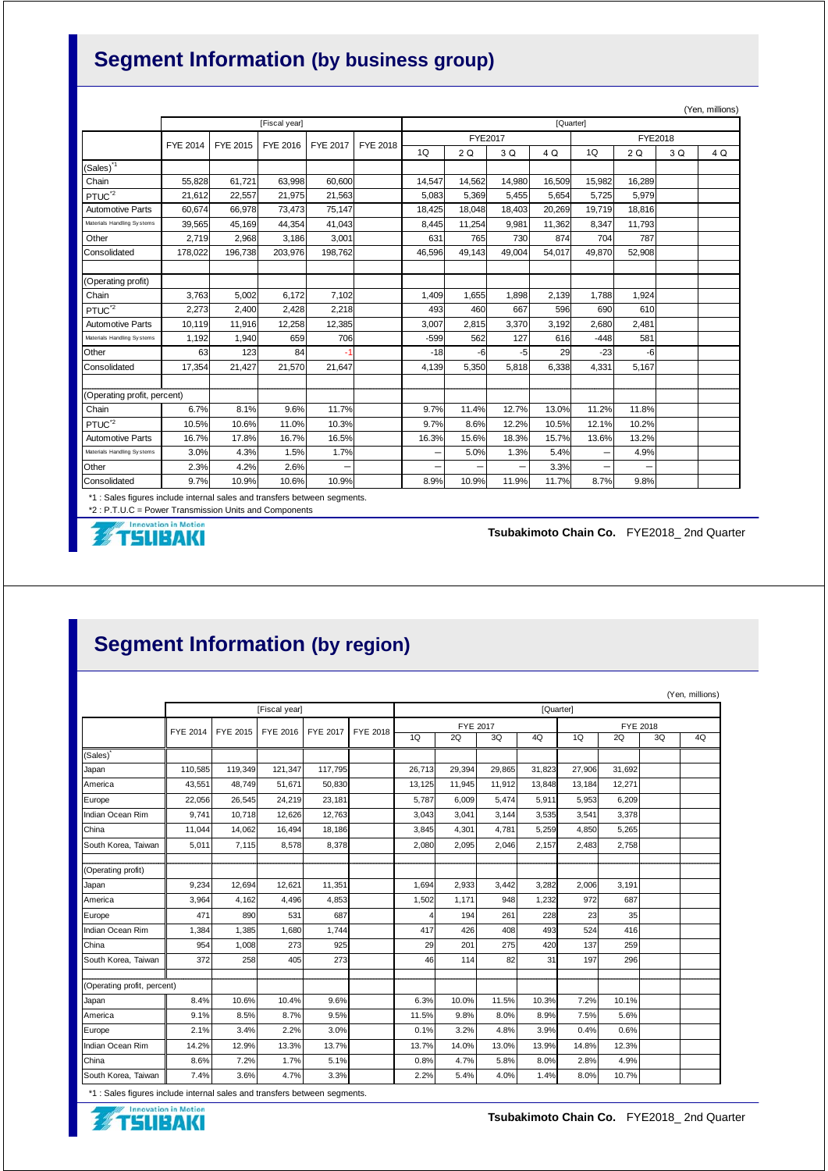## **Segment Information (by business group)**

|                             |                      |         |          |          |          |                |           |        |        |         |        |     | (Yen, millions) |  |
|-----------------------------|----------------------|---------|----------|----------|----------|----------------|-----------|--------|--------|---------|--------|-----|-----------------|--|
|                             | [Fiscal year]        |         |          |          |          |                | [Quarter] |        |        |         |        |     |                 |  |
|                             | FYE 2014<br>FYE 2015 |         | FYE 2016 | FYE 2017 | FYE 2018 | <b>FYE2017</b> |           |        |        | FYE2018 |        |     |                 |  |
|                             |                      |         |          |          |          | 1Q             | 2Q        | 3 Q    | 4 Q    | 1Q      | 2Q     | 3 Q | 4 Q             |  |
| (Sales) <sup>11</sup>       |                      |         |          |          |          |                |           |        |        |         |        |     |                 |  |
| Chain                       | 55.828               | 61.721  | 63.998   | 60.600   |          | 14.547         | 14,562    | 14.980 | 16.509 | 15,982  | 16,289 |     |                 |  |
| PTUC <sup>2</sup>           | 21,612               | 22,557  | 21,975   | 21,563   |          | 5,083          | 5,369     | 5.455  | 5.654  | 5.725   | 5,979  |     |                 |  |
| <b>Automotive Parts</b>     | 60.674               | 66.978  | 73,473   | 75,147   |          | 18.425         | 18.048    | 18,403 | 20,269 | 19.719  | 18.816 |     |                 |  |
| Materials Handling Systems  | 39,565               | 45,169  | 44,354   | 41,043   |          | 8,445          | 11,254    | 9,981  | 11,362 | 8,347   | 11,793 |     |                 |  |
| Other                       | 2,719                | 2,968   | 3.186    | 3,001    |          | 631            | 765       | 730    | 874    | 704     | 787    |     |                 |  |
| Consolidated                | 178,022              | 196.738 | 203,976  | 198.762  |          | 46.596         | 49.143    | 49.004 | 54.017 | 49.870  | 52,908 |     |                 |  |
|                             |                      |         |          |          |          |                |           |        |        |         |        |     |                 |  |
| (Operating profit)          |                      |         |          |          |          |                |           |        |        |         |        |     |                 |  |
| Chain                       | 3.763                | 5.002   | 6.172    | 7,102    |          | 1,409          | 1.655     | 1.898  | 2,139  | 1.788   | 1.924  |     |                 |  |
| PTUC <sup>'2</sup>          | 2,273                | 2,400   | 2,428    | 2,218    |          | 493            | 460       | 667    | 596    | 690     | 610    |     |                 |  |
| <b>Automotive Parts</b>     | 10,119               | 11.916  | 12,258   | 12,385   |          | 3.007          | 2.815     | 3,370  | 3.192  | 2.680   | 2.481  |     |                 |  |
| Materials Handling Systems  | 1,192                | 1,940   | 659      | 706      |          | $-599$         | 562       | 127    | 616    | $-448$  | 581    |     |                 |  |
| Other                       | 63                   | 123     | 84       |          |          | $-18$          | -6        | -5     | 29     | $-23$   | -6     |     |                 |  |
| Consolidated                | 17,354               | 21,427  | 21,570   | 21.647   |          | 4.139          | 5,350     | 5,818  | 6,338  | 4,331   | 5,167  |     |                 |  |
|                             |                      |         |          |          |          |                |           |        |        |         |        |     |                 |  |
| (Operating profit, percent) |                      |         |          |          |          |                |           |        |        |         |        |     |                 |  |
| Chain                       | 6.7%                 | 8.1%    | 9.6%     | 11.7%    |          | 9.7%           | 11.4%     | 12.7%  | 13.0%  | 11.2%   | 11.8%  |     |                 |  |
| $PTUC^2$                    | 10.5%                | 10.6%   | 11.0%    | 10.3%    |          | 9.7%           | 8.6%      | 12.2%  | 10.5%  | 12.1%   | 10.2%  |     |                 |  |
| <b>Automotive Parts</b>     | 16.7%                | 17.8%   | 16.7%    | 16.5%    |          | 16.3%          | 15.6%     | 18.3%  | 15.7%  | 13.6%   | 13.2%  |     |                 |  |
| Materials Handling Systems  | 3.0%                 | 4.3%    | 1.5%     | 1.7%     |          | -              | 5.0%      | 1.3%   | 5.4%   |         | 4.9%   |     |                 |  |
| Other                       | 2.3%                 | 4.2%    | 2.6%     | -        |          | -              | -         |        | 3.3%   | -       | -      |     |                 |  |
| Consolidated                | 9.7%                 | 10.9%   | 10.6%    | 10.9%    |          | 8.9%           | 10.9%     | 11.9%  | 11.7%  | 8.7%    | 9.8%   |     |                 |  |

\*1 : Sales figures include internal sales and transfers between segments.

\*2 : P.T.U.C = Power Transmission Units and Components<br>
FILENTING

**Tsubakimoto Chain Co.** FYE2018\_ 2nd Quarter

### **Segment Information (by region)**

|                             |                 |          |          |                 |                 |                 |           |        |        |                 |        |    | (Yen, millions) |  |
|-----------------------------|-----------------|----------|----------|-----------------|-----------------|-----------------|-----------|--------|--------|-----------------|--------|----|-----------------|--|
|                             | [Fiscal year]   |          |          |                 |                 |                 | [Quarter] |        |        |                 |        |    |                 |  |
|                             | <b>FYE 2014</b> | FYE 2015 | FYE 2016 | <b>FYE 2017</b> | <b>FYE 2018</b> | <b>FYE 2017</b> |           |        |        | <b>FYE 2018</b> |        |    |                 |  |
|                             |                 |          |          |                 |                 | 1Q              | 2Q        | 3Q     | 4Q     | 1Q              | 2Q     | 3Q | 4Q              |  |
| (Sales)                     |                 |          |          |                 |                 |                 |           |        |        |                 |        |    |                 |  |
| Japan                       | 110,585         | 119,349  | 121.347  | 117.795         |                 | 26.713          | 29.394    | 29.865 | 31.823 | 27,906          | 31.692 |    |                 |  |
| America                     | 43,551          | 48.749   | 51.671   | 50,830          |                 | 13,125          | 11,945    | 11,912 | 13,848 | 13,184          | 12,271 |    |                 |  |
| Europe                      | 22,056          | 26,545   | 24,219   | 23,181          |                 | 5.787           | 6,009     | 5,474  | 5,911  | 5,953           | 6,209  |    |                 |  |
| Indian Ocean Rim            | 9.741           | 10,718   | 12,626   | 12,763          |                 | 3.043           | 3,041     | 3.144  | 3,535  | 3,541           | 3,378  |    |                 |  |
| China                       | 11,044          | 14,062   | 16,494   | 18,186          |                 | 3,845           | 4,301     | 4,781  | 5,259  | 4,850           | 5,265  |    |                 |  |
| South Korea, Taiwan         | 5,011           | 7,115    | 8,578    | 8,378           |                 | 2.080           | 2,095     | 2,046  | 2.157  | 2,483           | 2,758  |    |                 |  |
|                             |                 |          |          |                 |                 |                 |           |        |        |                 |        |    |                 |  |
| (Operating profit)          |                 |          |          |                 |                 |                 |           |        |        |                 |        |    |                 |  |
| Japan                       | 9,234           | 12,694   | 12,621   | 11,351          |                 | 1,694           | 2,933     | 3,442  | 3,282  | 2,006           | 3,191  |    |                 |  |
| America                     | 3,964           | 4,162    | 4.496    | 4.853           |                 | 1.502           | 1,171     | 948    | 1.232  | 972             | 687    |    |                 |  |
| Europe                      | 471             | 890      | 531      | 687             |                 | Δ               | 194       | 261    | 228    | 23              | 35     |    |                 |  |
| Indian Ocean Rim            | 1,384           | 1,385    | 1,680    | 1.744           |                 | 417             | 426       | 408    | 493    | 524             | 416    |    |                 |  |
| China                       | 954             | 1,008    | 273      | 925             |                 | 29              | 201       | 275    | 420    | 137             | 259    |    |                 |  |
| South Korea, Taiwan         | 372             | 258      | 405      | 273             |                 | 46              | 114       | 82     | 31     | 197             | 296    |    |                 |  |
| (Operating profit, percent) |                 |          |          |                 |                 |                 |           |        |        |                 |        |    |                 |  |
| Japan                       | 8.4%            | 10.6%    | 10.4%    | 9.6%            |                 | 6.3%            | 10.0%     | 11.5%  | 10.3%  | 7.2%            | 10.1%  |    |                 |  |
| America                     | 9.1%            | 8.5%     | 8.7%     | 9.5%            |                 | 11.5%           | 9.8%      | 8.0%   | 8.9%   | 7.5%            | 5.6%   |    |                 |  |
| Europe                      | 2.1%            | 3.4%     | 2.2%     | 3.0%            |                 | 0.1%            | 3.2%      | 4.8%   | 3.9%   | 0.4%            | 0.6%   |    |                 |  |
| Indian Ocean Rim            | 14.2%           | 12.9%    | 13.3%    | 13.7%           |                 | 13.7%           | 14.0%     | 13.0%  | 13.9%  | 14.8%           | 12.3%  |    |                 |  |
| China                       | 8.6%            | 7.2%     | 1.7%     | 5.1%            |                 | 0.8%            | 4.7%      | 5.8%   | 8.0%   | 2.8%            | 4.9%   |    |                 |  |
| South Korea. Taiwan         | 7.4%            | 3.6%     | 4.7%     | 3.3%            |                 | 2.2%            | 5.4%      | 4.0%   | 1.4%   | 8.0%            | 10.7%  |    |                 |  |

\*1 : Sales figures include internal sales and transfers between segments.